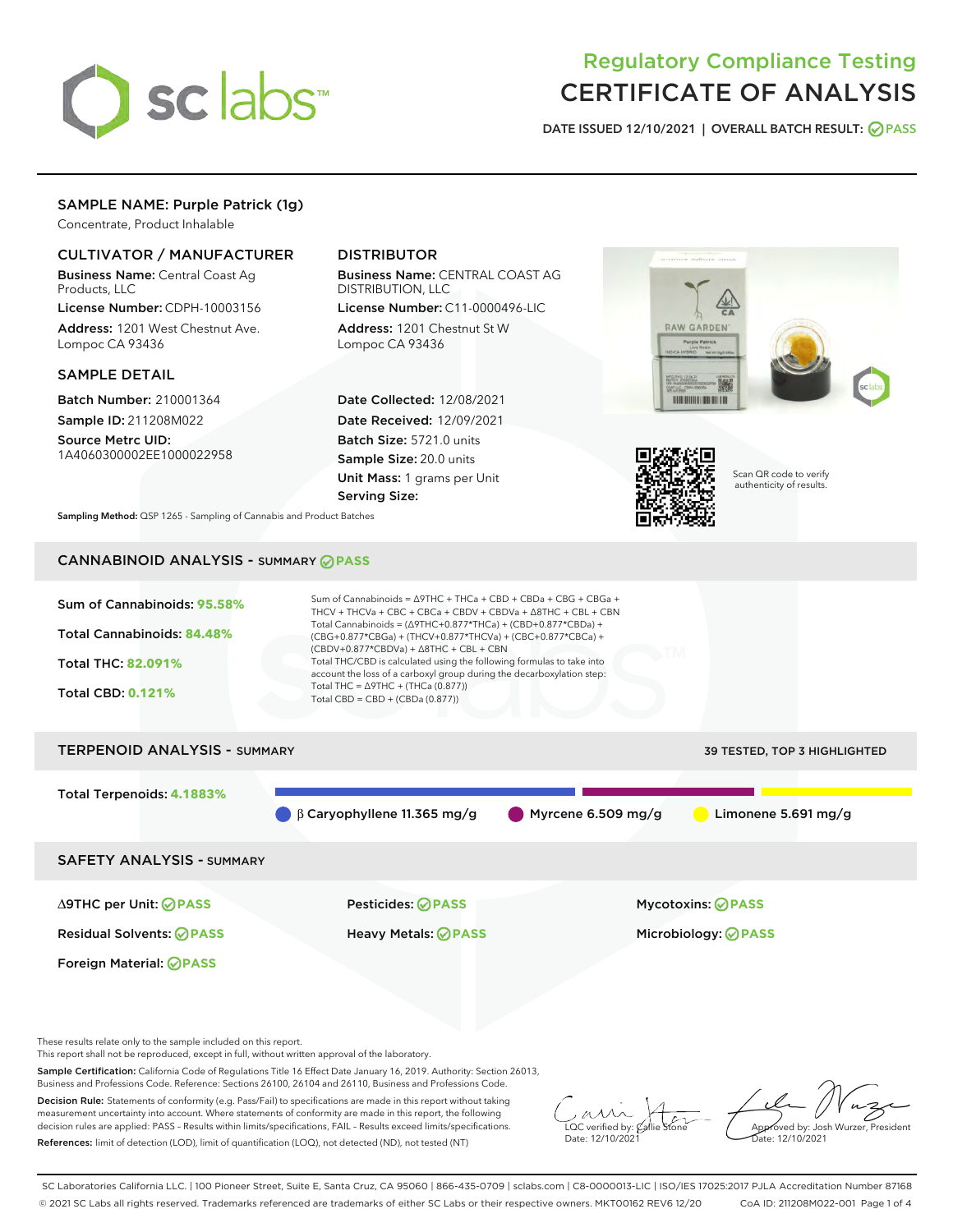

# Regulatory Compliance Testing CERTIFICATE OF ANALYSIS

DATE ISSUED 12/10/2021 | OVERALL BATCH RESULT: @ PASS

# SAMPLE NAME: Purple Patrick (1g)

Concentrate, Product Inhalable

### CULTIVATOR / MANUFACTURER

Business Name: Central Coast Ag Products, LLC

License Number: CDPH-10003156 Address: 1201 West Chestnut Ave. Lompoc CA 93436

#### SAMPLE DETAIL

Batch Number: 210001364 Sample ID: 211208M022

Source Metrc UID: 1A4060300002EE1000022958

# DISTRIBUTOR

Business Name: CENTRAL COAST AG DISTRIBUTION, LLC License Number: C11-0000496-LIC

Address: 1201 Chestnut St W Lompoc CA 93436

Date Collected: 12/08/2021 Date Received: 12/09/2021 Batch Size: 5721.0 units Sample Size: 20.0 units Unit Mass: 1 grams per Unit Serving Size:





Scan QR code to verify authenticity of results.

Sampling Method: QSP 1265 - Sampling of Cannabis and Product Batches

# CANNABINOID ANALYSIS - SUMMARY **PASS**



These results relate only to the sample included on this report.

This report shall not be reproduced, except in full, without written approval of the laboratory.

Sample Certification: California Code of Regulations Title 16 Effect Date January 16, 2019. Authority: Section 26013, Business and Professions Code. Reference: Sections 26100, 26104 and 26110, Business and Professions Code.

Decision Rule: Statements of conformity (e.g. Pass/Fail) to specifications are made in this report without taking measurement uncertainty into account. Where statements of conformity are made in this report, the following decision rules are applied: PASS – Results within limits/specifications, FAIL – Results exceed limits/specifications. References: limit of detection (LOD), limit of quantification (LOQ), not detected (ND), not tested (NT)

 $\overline{\text{C}}$  verified by:  $\mathcal C$ Date: 12/10/2021

Aved by: Josh Wurzer, President ate: 12/10/2021

SC Laboratories California LLC. | 100 Pioneer Street, Suite E, Santa Cruz, CA 95060 | 866-435-0709 | sclabs.com | C8-0000013-LIC | ISO/IES 17025:2017 PJLA Accreditation Number 87168 © 2021 SC Labs all rights reserved. Trademarks referenced are trademarks of either SC Labs or their respective owners. MKT00162 REV6 12/20 CoA ID: 211208M022-001 Page 1 of 4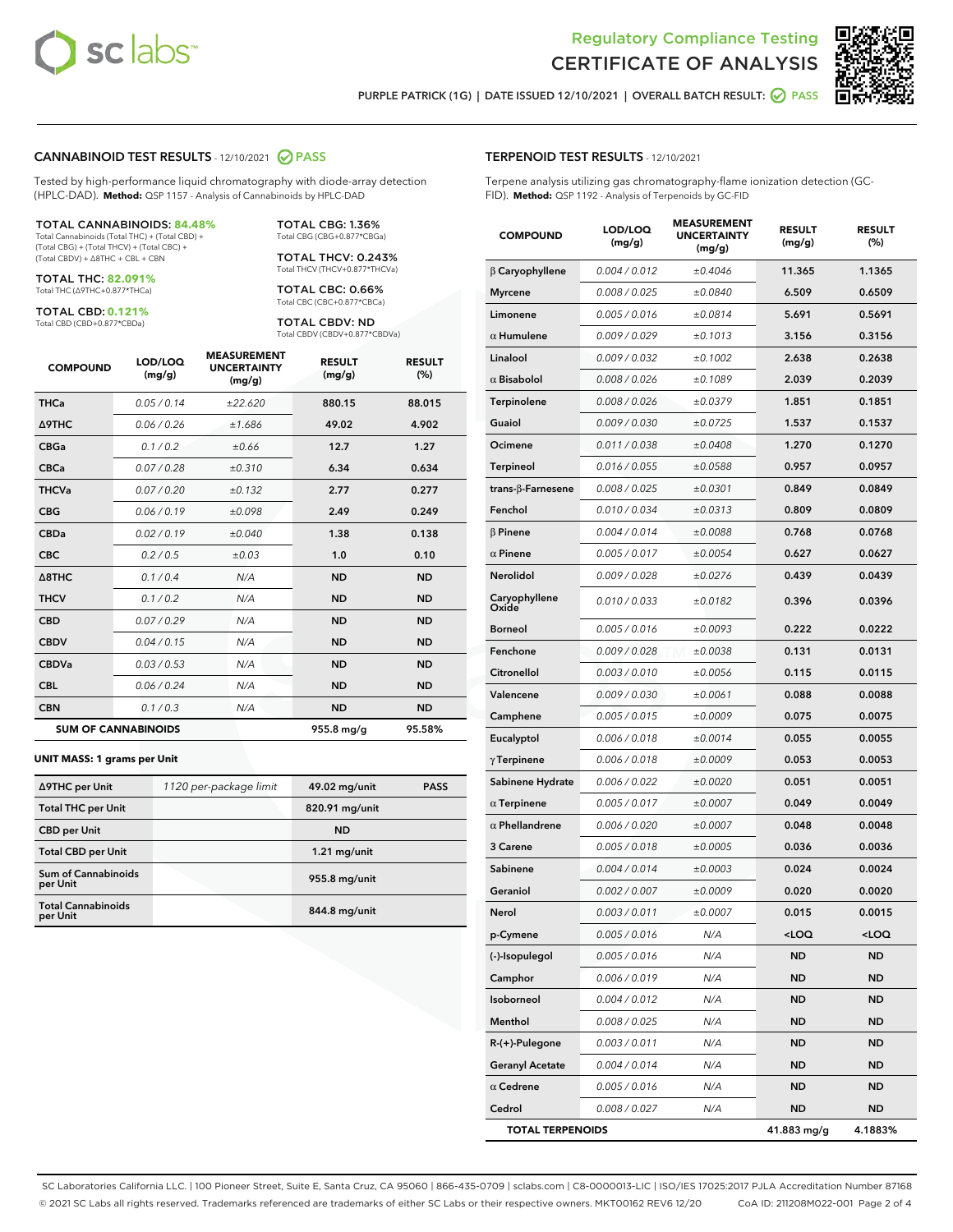



PURPLE PATRICK (1G) | DATE ISSUED 12/10/2021 | OVERALL BATCH RESULT:  $\bigcirc$  PASS

#### CANNABINOID TEST RESULTS - 12/10/2021 2 PASS

Tested by high-performance liquid chromatography with diode-array detection (HPLC-DAD). **Method:** QSP 1157 - Analysis of Cannabinoids by HPLC-DAD

#### TOTAL CANNABINOIDS: **84.48%**

Total Cannabinoids (Total THC) + (Total CBD) + (Total CBG) + (Total THCV) + (Total CBC) + (Total CBDV) + ∆8THC + CBL + CBN

TOTAL THC: **82.091%** Total THC (∆9THC+0.877\*THCa)

TOTAL CBD: **0.121%**

Total CBD (CBD+0.877\*CBDa)

TOTAL CBG: 1.36% Total CBG (CBG+0.877\*CBGa)

TOTAL THCV: 0.243% Total THCV (THCV+0.877\*THCVa)

TOTAL CBC: 0.66% Total CBC (CBC+0.877\*CBCa)

TOTAL CBDV: ND Total CBDV (CBDV+0.877\*CBDVa)

| <b>COMPOUND</b>            | LOD/LOQ<br>(mg/g) | <b>MEASUREMENT</b><br><b>UNCERTAINTY</b><br>(mg/g) | <b>RESULT</b><br>(mg/g) | <b>RESULT</b><br>(%) |
|----------------------------|-------------------|----------------------------------------------------|-------------------------|----------------------|
| <b>THCa</b>                | 0.05/0.14         | ±22.620                                            | 880.15                  | 88.015               |
| <b>A9THC</b>               | 0.06 / 0.26       | ±1.686                                             | 49.02                   | 4.902                |
| <b>CBGa</b>                | 0.1/0.2           | ±0.66                                              | 12.7                    | 1.27                 |
| <b>CBCa</b>                | 0.07 / 0.28       | ±0.310                                             | 6.34                    | 0.634                |
| <b>THCVa</b>               | 0.07/0.20         | ±0.132                                             | 2.77                    | 0.277                |
| <b>CBG</b>                 | 0.06/0.19         | ±0.098                                             | 2.49                    | 0.249                |
| <b>CBDa</b>                | 0.02/0.19         | ±0.040                                             | 1.38                    | 0.138                |
| <b>CBC</b>                 | 0.2 / 0.5         | ±0.03                                              | 1.0                     | 0.10                 |
| $\triangle$ 8THC           | 0.1 / 0.4         | N/A                                                | <b>ND</b>               | <b>ND</b>            |
| <b>THCV</b>                | 0.1/0.2           | N/A                                                | <b>ND</b>               | <b>ND</b>            |
| <b>CBD</b>                 | 0.07/0.29         | N/A                                                | <b>ND</b>               | <b>ND</b>            |
| <b>CBDV</b>                | 0.04 / 0.15       | N/A                                                | <b>ND</b>               | <b>ND</b>            |
| <b>CBDVa</b>               | 0.03 / 0.53       | N/A                                                | <b>ND</b>               | <b>ND</b>            |
| <b>CBL</b>                 | 0.06 / 0.24       | N/A                                                | <b>ND</b>               | <b>ND</b>            |
| <b>CBN</b>                 | 0.1/0.3           | N/A                                                | <b>ND</b>               | <b>ND</b>            |
| <b>SUM OF CANNABINOIDS</b> |                   |                                                    | 955.8 mg/g              | 95.58%               |

#### **UNIT MASS: 1 grams per Unit**

| ∆9THC per Unit                        | 1120 per-package limit | 49.02 mg/unit  | <b>PASS</b> |
|---------------------------------------|------------------------|----------------|-------------|
| <b>Total THC per Unit</b>             |                        | 820.91 mg/unit |             |
| <b>CBD per Unit</b>                   |                        | <b>ND</b>      |             |
| <b>Total CBD per Unit</b>             |                        | $1.21$ mg/unit |             |
| Sum of Cannabinoids<br>per Unit       |                        | 955.8 mg/unit  |             |
| <b>Total Cannabinoids</b><br>per Unit |                        | 844.8 mg/unit  |             |

| <b>COMPOUND</b>         | LOD/LOQ<br>(mg/g) | <b>MEASUREMENT</b><br><b>UNCERTAINTY</b><br>(mg/g) | <b>RESULT</b><br>(mg/g)                         | <b>RESULT</b><br>(%) |
|-------------------------|-------------------|----------------------------------------------------|-------------------------------------------------|----------------------|
| $\beta$ Caryophyllene   | 0.004 / 0.012     | ±0.4046                                            | 11.365                                          | 1.1365               |
| <b>Myrcene</b>          | 0.008 / 0.025     | ±0.0840                                            | 6.509                                           | 0.6509               |
| Limonene                | 0.005 / 0.016     | ±0.0814                                            | 5.691                                           | 0.5691               |
| $\alpha$ Humulene       | 0.009 / 0.029     | ±0.1013                                            | 3.156                                           | 0.3156               |
| Linalool                | 0.009 / 0.032     | ±0.1002                                            | 2.638                                           | 0.2638               |
| $\alpha$ Bisabolol      | 0.008 / 0.026     | ±0.1089                                            | 2.039                                           | 0.2039               |
| Terpinolene             | 0.008 / 0.026     | ±0.0379                                            | 1.851                                           | 0.1851               |
| Guaiol                  | 0.009 / 0.030     | ±0.0725                                            | 1.537                                           | 0.1537               |
| Ocimene                 | 0.011 / 0.038     | ±0.0408                                            | 1.270                                           | 0.1270               |
| <b>Terpineol</b>        | 0.016 / 0.055     | ±0.0588                                            | 0.957                                           | 0.0957               |
| trans-β-Farnesene       | 0.008 / 0.025     | ±0.0301                                            | 0.849                                           | 0.0849               |
| Fenchol                 | 0.010 / 0.034     | ±0.0313                                            | 0.809                                           | 0.0809               |
| $\beta$ Pinene          | 0.004 / 0.014     | ±0.0088                                            | 0.768                                           | 0.0768               |
| $\alpha$ Pinene         | 0.005 / 0.017     | ±0.0054                                            | 0.627                                           | 0.0627               |
| Nerolidol               | 0.009 / 0.028     | ±0.0276                                            | 0.439                                           | 0.0439               |
| Caryophyllene<br>Oxide  | 0.010 / 0.033     | ±0.0182                                            | 0.396                                           | 0.0396               |
| <b>Borneol</b>          | 0.005 / 0.016     | ±0.0093                                            | 0.222                                           | 0.0222               |
| Fenchone                | 0.009/0.028       | ±0.0038                                            | 0.131                                           | 0.0131               |
| Citronellol             | 0.003 / 0.010     | ±0.0056                                            | 0.115                                           | 0.0115               |
| Valencene               | 0.009 / 0.030     | ±0.0061                                            | 0.088                                           | 0.0088               |
| Camphene                | 0.005 / 0.015     | ±0.0009                                            | 0.075                                           | 0.0075               |
| Eucalyptol              | 0.006 / 0.018     | ±0.0014                                            | 0.055                                           | 0.0055               |
| $\gamma$ Terpinene      | 0.006 / 0.018     | ±0.0009                                            | 0.053                                           | 0.0053               |
| Sabinene Hydrate        | 0.006 / 0.022     | ±0.0020                                            | 0.051                                           | 0.0051               |
| $\alpha$ Terpinene      | 0.005 / 0.017     | ±0.0007                                            | 0.049                                           | 0.0049               |
| $\alpha$ Phellandrene   | 0.006 / 0.020     | ±0.0007                                            | 0.048                                           | 0.0048               |
| 3 Carene                | 0.005 / 0.018     | ±0.0005                                            | 0.036                                           | 0.0036               |
| Sabinene                | 0.004 / 0.014     | ±0.0003                                            | 0.024                                           | 0.0024               |
| Geraniol                | 0.002 / 0.007     | ±0.0009                                            | 0.020                                           | 0.0020               |
| Nerol                   | 0.003/0.011       | ±0.0007                                            | 0.015                                           | 0.0015               |
| p-Cymene                | 0.005 / 0.016     | N/A                                                | <loq< th=""><th><loq< th=""></loq<></th></loq<> | <loq< th=""></loq<>  |
| (-)-Isopulegol          | 0.005 / 0.016     | N/A                                                | ND                                              | ND                   |
| Camphor                 | 0.006 / 0.019     | N/A                                                | ND                                              | ND                   |
| Isoborneol              | 0.004 / 0.012     | N/A                                                | ND                                              | ND                   |
| Menthol                 | 0.008 / 0.025     | N/A                                                | ND                                              | ND                   |
| R-(+)-Pulegone          | 0.003 / 0.011     | N/A                                                | ND                                              | ND                   |
| <b>Geranyl Acetate</b>  | 0.004 / 0.014     | N/A                                                | ND                                              | ND                   |
| $\alpha$ Cedrene        | 0.005 / 0.016     | N/A                                                | ND                                              | ND                   |
| Cedrol                  | 0.008 / 0.027     | N/A                                                | ND                                              | ND                   |
| <b>TOTAL TERPENOIDS</b> |                   |                                                    | 41.883 mg/g                                     | 4.1883%              |

SC Laboratories California LLC. | 100 Pioneer Street, Suite E, Santa Cruz, CA 95060 | 866-435-0709 | sclabs.com | C8-0000013-LIC | ISO/IES 17025:2017 PJLA Accreditation Number 87168 © 2021 SC Labs all rights reserved. Trademarks referenced are trademarks of either SC Labs or their respective owners. MKT00162 REV6 12/20 CoA ID: 211208M022-001 Page 2 of 4

# TERPENOID TEST RESULTS - 12/10/2021

Terpene analysis utilizing gas chromatography-flame ionization detection (GC-FID). **Method:** QSP 1192 - Analysis of Terpenoids by GC-FID

MEASUREMENT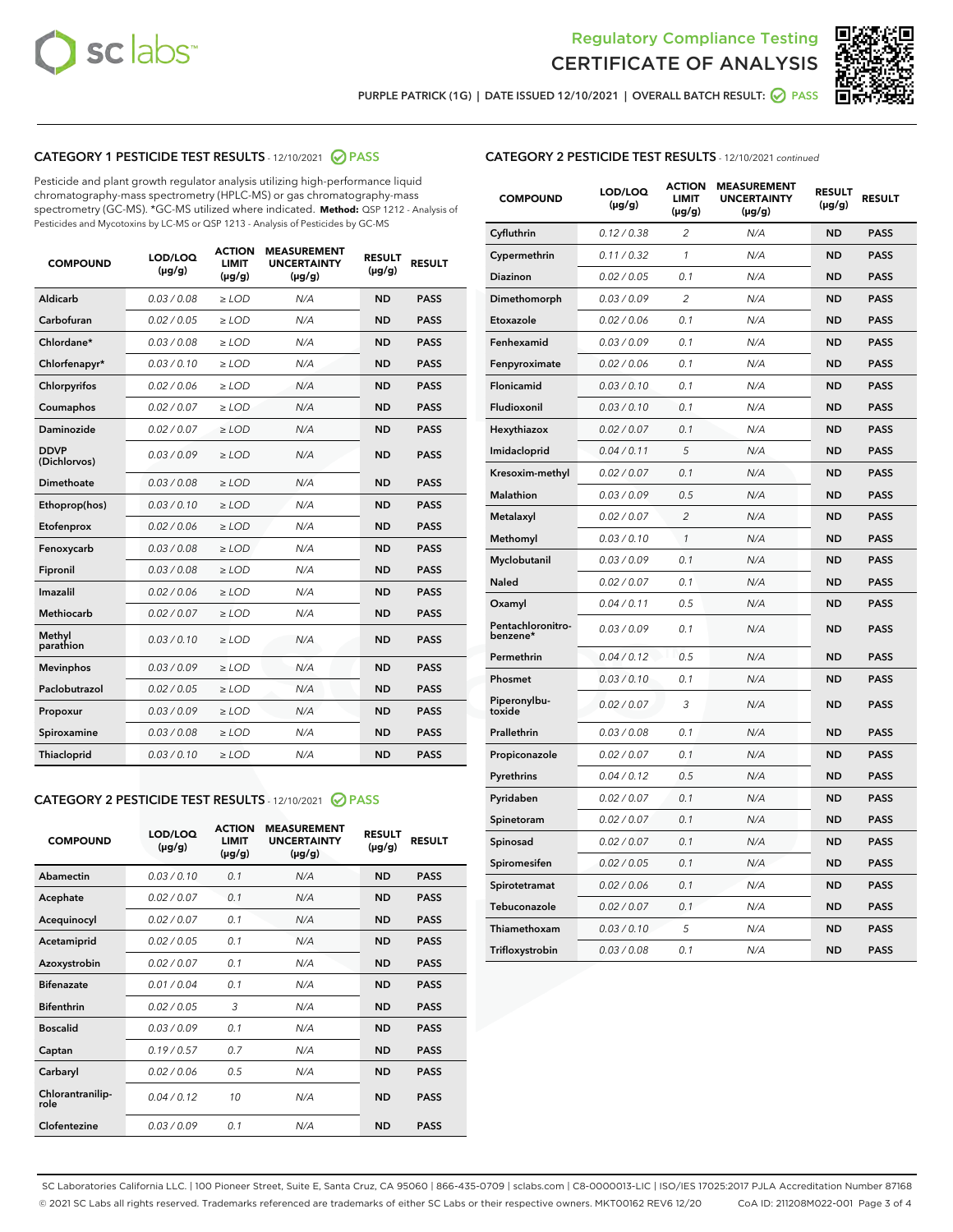



PURPLE PATRICK (1G) | DATE ISSUED 12/10/2021 | OVERALL BATCH RESULT:  $\bigcirc$  PASS

# CATEGORY 1 PESTICIDE TEST RESULTS - 12/10/2021 2 PASS

Pesticide and plant growth regulator analysis utilizing high-performance liquid chromatography-mass spectrometry (HPLC-MS) or gas chromatography-mass spectrometry (GC-MS). \*GC-MS utilized where indicated. **Method:** QSP 1212 - Analysis of Pesticides and Mycotoxins by LC-MS or QSP 1213 - Analysis of Pesticides by GC-MS

| <b>COMPOUND</b>             | LOD/LOQ<br>$(\mu g/g)$ | <b>ACTION</b><br><b>LIMIT</b><br>$(\mu g/g)$ | <b>MEASUREMENT</b><br><b>UNCERTAINTY</b><br>$(\mu g/g)$ | <b>RESULT</b><br>$(\mu g/g)$ | <b>RESULT</b> |
|-----------------------------|------------------------|----------------------------------------------|---------------------------------------------------------|------------------------------|---------------|
| Aldicarb                    | 0.03 / 0.08            | $\ge$ LOD                                    | N/A                                                     | <b>ND</b>                    | <b>PASS</b>   |
| Carbofuran                  | 0.02 / 0.05            | $\ge$ LOD                                    | N/A                                                     | <b>ND</b>                    | <b>PASS</b>   |
| Chlordane*                  | 0.03 / 0.08            | $\ge$ LOD                                    | N/A                                                     | <b>ND</b>                    | <b>PASS</b>   |
| Chlorfenapyr*               | 0.03/0.10              | $\ge$ LOD                                    | N/A                                                     | <b>ND</b>                    | <b>PASS</b>   |
| Chlorpyrifos                | 0.02 / 0.06            | $\ge$ LOD                                    | N/A                                                     | <b>ND</b>                    | <b>PASS</b>   |
| Coumaphos                   | 0.02 / 0.07            | $\ge$ LOD                                    | N/A                                                     | <b>ND</b>                    | <b>PASS</b>   |
| Daminozide                  | 0.02 / 0.07            | $\ge$ LOD                                    | N/A                                                     | <b>ND</b>                    | <b>PASS</b>   |
| <b>DDVP</b><br>(Dichlorvos) | 0.03/0.09              | $\ge$ LOD                                    | N/A                                                     | <b>ND</b>                    | <b>PASS</b>   |
| Dimethoate                  | 0.03 / 0.08            | $\ge$ LOD                                    | N/A                                                     | <b>ND</b>                    | <b>PASS</b>   |
| Ethoprop(hos)               | 0.03/0.10              | $\ge$ LOD                                    | N/A                                                     | <b>ND</b>                    | <b>PASS</b>   |
| Etofenprox                  | 0.02/0.06              | $>$ LOD                                      | N/A                                                     | <b>ND</b>                    | <b>PASS</b>   |
| Fenoxycarb                  | 0.03 / 0.08            | $>$ LOD                                      | N/A                                                     | <b>ND</b>                    | <b>PASS</b>   |
| Fipronil                    | 0.03 / 0.08            | $>$ LOD                                      | N/A                                                     | <b>ND</b>                    | <b>PASS</b>   |
| Imazalil                    | 0.02 / 0.06            | $\ge$ LOD                                    | N/A                                                     | <b>ND</b>                    | <b>PASS</b>   |
| <b>Methiocarb</b>           | 0.02 / 0.07            | $\ge$ LOD                                    | N/A                                                     | <b>ND</b>                    | <b>PASS</b>   |
| Methyl<br>parathion         | 0.03/0.10              | $\ge$ LOD                                    | N/A                                                     | <b>ND</b>                    | <b>PASS</b>   |
| <b>Mevinphos</b>            | 0.03/0.09              | $\ge$ LOD                                    | N/A                                                     | <b>ND</b>                    | <b>PASS</b>   |
| Paclobutrazol               | 0.02 / 0.05            | $\ge$ LOD                                    | N/A                                                     | <b>ND</b>                    | <b>PASS</b>   |
| Propoxur                    | 0.03/0.09              | $\ge$ LOD                                    | N/A                                                     | <b>ND</b>                    | <b>PASS</b>   |
| Spiroxamine                 | 0.03 / 0.08            | $\ge$ LOD                                    | N/A                                                     | <b>ND</b>                    | <b>PASS</b>   |
| Thiacloprid                 | 0.03/0.10              | $\ge$ LOD                                    | N/A                                                     | <b>ND</b>                    | <b>PASS</b>   |

#### CATEGORY 2 PESTICIDE TEST RESULTS - 12/10/2021 @ PASS

| <b>COMPOUND</b>          | LOD/LOO<br>$(\mu g/g)$ | <b>ACTION</b><br>LIMIT<br>$(\mu g/g)$ | <b>MEASUREMENT</b><br><b>UNCERTAINTY</b><br>$(\mu g/g)$ | <b>RESULT</b><br>$(\mu g/g)$ | <b>RESULT</b> |  |
|--------------------------|------------------------|---------------------------------------|---------------------------------------------------------|------------------------------|---------------|--|
| Abamectin                | 0.03/0.10              | 0.1                                   | N/A                                                     | <b>ND</b>                    | <b>PASS</b>   |  |
| Acephate                 | 0.02/0.07              | 0.1                                   | N/A                                                     | <b>ND</b>                    | <b>PASS</b>   |  |
| Acequinocyl              | 0.02/0.07              | 0.1                                   | N/A                                                     | <b>ND</b>                    | <b>PASS</b>   |  |
| Acetamiprid              | 0.02/0.05              | 0.1                                   | N/A                                                     | <b>ND</b>                    | <b>PASS</b>   |  |
| Azoxystrobin             | 0.02/0.07              | 0.1                                   | N/A                                                     | <b>ND</b>                    | <b>PASS</b>   |  |
| <b>Bifenazate</b>        | 0.01 / 0.04            | 0.1                                   | N/A                                                     | <b>ND</b>                    | <b>PASS</b>   |  |
| <b>Bifenthrin</b>        | 0.02/0.05              | 3                                     | N/A                                                     | <b>ND</b>                    | <b>PASS</b>   |  |
| <b>Boscalid</b>          | 0.03/0.09              | 0.1                                   | N/A                                                     | <b>ND</b>                    | <b>PASS</b>   |  |
| Captan                   | 0.19/0.57              | 0.7                                   | N/A                                                     | <b>ND</b>                    | <b>PASS</b>   |  |
| Carbaryl                 | 0.02/0.06              | 0.5                                   | N/A                                                     | <b>ND</b>                    | <b>PASS</b>   |  |
| Chlorantranilip-<br>role | 0.04/0.12              | 10                                    | N/A                                                     | <b>ND</b>                    | <b>PASS</b>   |  |
| Clofentezine             | 0.03/0.09              | 0.1                                   | N/A                                                     | <b>ND</b>                    | <b>PASS</b>   |  |

| <b>COMPOUND</b>               | LOD/LOQ<br>(µg/g) | <b>ACTION</b><br>LIMIT<br>$(\mu g/g)$ | <b>MEASUREMENT</b><br><b>UNCERTAINTY</b><br>$(\mu g/g)$ | <b>RESULT</b><br>(µg/g) | <b>RESULT</b> |
|-------------------------------|-------------------|---------------------------------------|---------------------------------------------------------|-------------------------|---------------|
| Cyfluthrin                    | 0.12 / 0.38       | 2                                     | N/A                                                     | ND                      | <b>PASS</b>   |
| Cypermethrin                  | 0.11 / 0.32       | 1                                     | N/A                                                     | ND                      | <b>PASS</b>   |
| Diazinon                      | 0.02 / 0.05       | 0.1                                   | N/A                                                     | ND                      | <b>PASS</b>   |
| Dimethomorph                  | 0.03 / 0.09       | 2                                     | N/A                                                     | ND                      | <b>PASS</b>   |
| Etoxazole                     | 0.02 / 0.06       | 0.1                                   | N/A                                                     | ND                      | <b>PASS</b>   |
| Fenhexamid                    | 0.03 / 0.09       | 0.1                                   | N/A                                                     | ND                      | <b>PASS</b>   |
| Fenpyroximate                 | 0.02 / 0.06       | 0.1                                   | N/A                                                     | <b>ND</b>               | <b>PASS</b>   |
| Flonicamid                    | 0.03 / 0.10       | 0.1                                   | N/A                                                     | <b>ND</b>               | <b>PASS</b>   |
| Fludioxonil                   | 0.03 / 0.10       | 0.1                                   | N/A                                                     | ND                      | <b>PASS</b>   |
| Hexythiazox                   | 0.02 / 0.07       | 0.1                                   | N/A                                                     | <b>ND</b>               | <b>PASS</b>   |
| Imidacloprid                  | 0.04 / 0.11       | 5                                     | N/A                                                     | <b>ND</b>               | <b>PASS</b>   |
| Kresoxim-methyl               | 0.02 / 0.07       | 0.1                                   | N/A                                                     | ND                      | <b>PASS</b>   |
| Malathion                     | 0.03 / 0.09       | 0.5                                   | N/A                                                     | <b>ND</b>               | <b>PASS</b>   |
| Metalaxyl                     | 0.02 / 0.07       | $\overline{2}$                        | N/A                                                     | <b>ND</b>               | <b>PASS</b>   |
| Methomyl                      | 0.03 / 0.10       | $\mathbf{1}$                          | N/A                                                     | <b>ND</b>               | <b>PASS</b>   |
| Myclobutanil                  | 0.03/0.09         | 0.1                                   | N/A                                                     | <b>ND</b>               | <b>PASS</b>   |
| <b>Naled</b>                  | 0.02 / 0.07       | 0.1                                   | N/A                                                     | ND                      | <b>PASS</b>   |
| Oxamyl                        | 0.04 / 0.11       | 0.5                                   | N/A                                                     | ND                      | <b>PASS</b>   |
| Pentachloronitro-<br>benzene* | 0.03/0.09         | 0.1                                   | N/A                                                     | ND                      | <b>PASS</b>   |
| Permethrin                    | 0.04 / 0.12       | 0.5                                   | N/A                                                     | ND                      | <b>PASS</b>   |
| Phosmet                       | 0.03 / 0.10       | 0.1                                   | N/A                                                     | <b>ND</b>               | <b>PASS</b>   |
| Piperonylbu-<br>toxide        | 0.02 / 0.07       | 3                                     | N/A                                                     | <b>ND</b>               | <b>PASS</b>   |
| Prallethrin                   | 0.03 / 0.08       | 0.1                                   | N/A                                                     | ND                      | <b>PASS</b>   |
| Propiconazole                 | 0.02 / 0.07       | 0.1                                   | N/A                                                     | <b>ND</b>               | <b>PASS</b>   |
| Pyrethrins                    | 0.04 / 0.12       | 0.5                                   | N/A                                                     | <b>ND</b>               | <b>PASS</b>   |
| Pyridaben                     | 0.02 / 0.07       | 0.1                                   | N/A                                                     | ND                      | <b>PASS</b>   |
| Spinetoram                    | 0.02 / 0.07       | 0.1                                   | N/A                                                     | ND                      | <b>PASS</b>   |
| Spinosad                      | 0.02 / 0.07       | 0.1                                   | N/A                                                     | ND                      | <b>PASS</b>   |
| Spiromesifen                  | 0.02 / 0.05       | 0.1                                   | N/A                                                     | ND                      | <b>PASS</b>   |
| Spirotetramat                 | 0.02 / 0.06       | 0.1                                   | N/A                                                     | ND                      | <b>PASS</b>   |
| Tebuconazole                  | 0.02 / 0.07       | 0.1                                   | N/A                                                     | <b>ND</b>               | <b>PASS</b>   |
| Thiamethoxam                  | 0.03 / 0.10       | 5                                     | N/A                                                     | ND                      | <b>PASS</b>   |
| Trifloxystrobin               | 0.03 / 0.08       | 0.1                                   | N/A                                                     | <b>ND</b>               | <b>PASS</b>   |

SC Laboratories California LLC. | 100 Pioneer Street, Suite E, Santa Cruz, CA 95060 | 866-435-0709 | sclabs.com | C8-0000013-LIC | ISO/IES 17025:2017 PJLA Accreditation Number 87168 © 2021 SC Labs all rights reserved. Trademarks referenced are trademarks of either SC Labs or their respective owners. MKT00162 REV6 12/20 CoA ID: 211208M022-001 Page 3 of 4